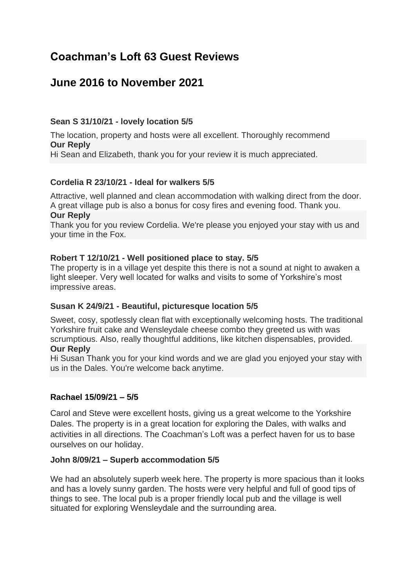# **Coachman's Loft 63 Guest Reviews**

# **June 2016 to November 2021**

#### **Sean S 31/10/21 - lovely location 5/5**

The location, property and hosts were all excellent. Thoroughly recommend **Our Reply** Hi Sean and Elizabeth, thank you for your review it is much appreciated.

#### **Cordelia R 23/10/21 - Ideal for walkers 5/5**

Attractive, well planned and clean accommodation with walking direct from the door. A great village pub is also a bonus for cosy fires and evening food. Thank you. **Our Reply**

Thank you for you review Cordelia. We're please you enjoyed your stay with us and your time in the Fox.

#### **Robert T 12/10/21 - Well positioned place to stay. 5/5**

The property is in a village yet despite this there is not a sound at night to awaken a light sleeper. Very well located for walks and visits to some of Yorkshire's most impressive areas.

#### **Susan K 24/9/21 - Beautiful, picturesque location 5/5**

Sweet, cosy, spotlessly clean flat with exceptionally welcoming hosts. The traditional Yorkshire fruit cake and Wensleydale cheese combo they greeted us with was scrumptious. Also, really thoughtful additions, like kitchen dispensables, provided.

#### **Our Reply**

Hi Susan Thank you for your kind words and we are glad you enjoyed your stay with us in the Dales. You're welcome back anytime.

#### **Rachael 15/09/21 – 5/5**

Carol and Steve were excellent hosts, giving us a great welcome to the Yorkshire Dales. The property is in a great location for exploring the Dales, with walks and activities in all directions. The Coachman's Loft was a perfect haven for us to base ourselves on our holiday.

#### **John 8/09/21 – Superb accommodation 5/5**

We had an absolutely superb week here. The property is more spacious than it looks and has a lovely sunny garden. The hosts were very helpful and full of good tips of things to see. The local pub is a proper friendly local pub and the village is well situated for exploring Wensleydale and the surrounding area.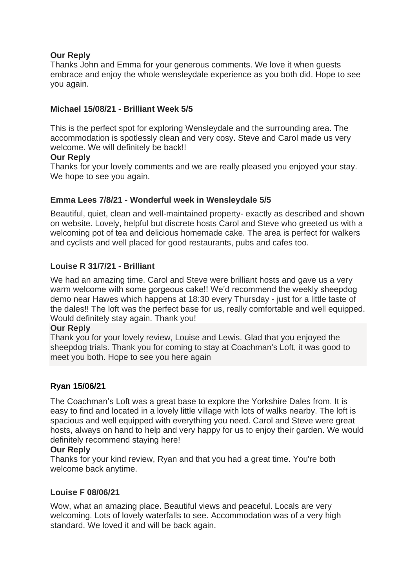## **Our Reply**

Thanks John and Emma for your generous comments. We love it when guests embrace and enjoy the whole wensleydale experience as you both did. Hope to see you again.

#### **Michael 15/08/21 - Brilliant Week 5/5**

This is the perfect spot for exploring Wensleydale and the surrounding area. The accommodation is spotlessly clean and very cosy. Steve and Carol made us very welcome. We will definitely be back!!

#### **Our Reply**

Thanks for your lovely comments and we are really pleased you enjoyed your stay. We hope to see you again.

#### **Emma Lees 7/8/21 - Wonderful week in Wensleydale 5/5**

Beautiful, quiet, clean and well-maintained property- exactly as described and shown on website. Lovely, helpful but discrete hosts Carol and Steve who greeted us with a welcoming pot of tea and delicious homemade cake. The area is perfect for walkers and cyclists and well placed for good restaurants, pubs and cafes too.

#### **Louise R 31/7/21 - Brilliant**

We had an amazing time. Carol and Steve were brilliant hosts and gave us a very warm welcome with some gorgeous cake!! We'd recommend the weekly sheepdog demo near Hawes which happens at 18:30 every Thursday - just for a little taste of the dales!! The loft was the perfect base for us, really comfortable and well equipped. Would definitely stay again. Thank you!

#### **Our Reply**

Thank you for your lovely review, Louise and Lewis. Glad that you enjoyed the sheepdog trials. Thank you for coming to stay at Coachman's Loft, it was good to meet you both. Hope to see you here again

#### **Ryan 15/06/21**

The Coachman's Loft was a great base to explore the Yorkshire Dales from. It is easy to find and located in a lovely little village with lots of walks nearby. The loft is spacious and well equipped with everything you need. Carol and Steve were great hosts, always on hand to help and very happy for us to enjoy their garden. We would definitely recommend staying here!

#### **Our Reply**

Thanks for your kind review, Ryan and that you had a great time. You're both welcome back anytime.

#### **Louise F 08/06/21**

Wow, what an amazing place. Beautiful views and peaceful. Locals are very welcoming. Lots of lovely waterfalls to see. Accommodation was of a very high standard. We loved it and will be back again.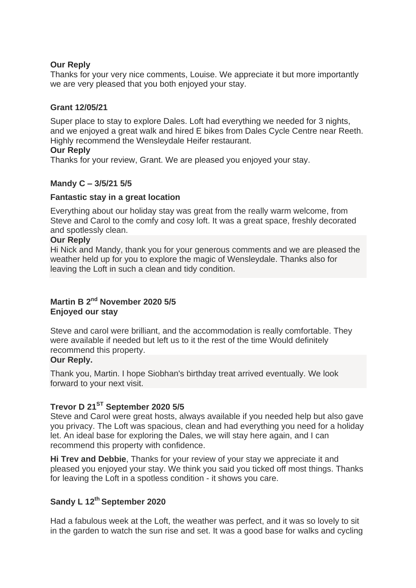#### **Our Reply**

Thanks for your very nice comments, Louise. We appreciate it but more importantly we are very pleased that you both enjoyed your stay.

#### **Grant 12/05/21**

Super place to stay to explore Dales. Loft had everything we needed for 3 nights, and we enjoyed a great walk and hired E bikes from Dales Cycle Centre near Reeth. Highly recommend the Wensleydale Heifer restaurant.

#### **Our Reply**

Thanks for your review, Grant. We are pleased you enjoyed your stay.

#### **Mandy C – 3/5/21 5/5**

#### **Fantastic stay in a great location**

Everything about our holiday stay was great from the really warm welcome, from Steve and Carol to the comfy and cosy loft. It was a great space, freshly decorated and spotlessly clean.

#### **Our Reply**

Hi Nick and Mandy, thank you for your generous comments and we are pleased the weather held up for you to explore the magic of Wensleydale. Thanks also for leaving the Loft in such a clean and tidy condition.

## **Martin B 2nd November 2020 5/5 Enjoyed our stay**

Steve and carol were brilliant, and the accommodation is really comfortable. They were available if needed but left us to it the rest of the time Would definitely recommend this property.

#### **Our Reply.**

Thank you, Martin. I hope Siobhan's birthday treat arrived eventually. We look forward to your next visit.

## **Trevor D 21ST September 2020 5/5**

Steve and Carol were great hosts, always available if you needed help but also gave you privacy. The Loft was spacious, clean and had everything you need for a holiday let. An ideal base for exploring the Dales, we will stay here again, and I can recommend this property with confidence.

**Hi Trev and Debbie**, Thanks for your review of your stay we appreciate it and pleased you enjoyed your stay. We think you said you ticked off most things. Thanks for leaving the Loft in a spotless condition - it shows you care.

# **Sandy L 12th September 2020**

Had a fabulous week at the Loft, the weather was perfect, and it was so lovely to sit in the garden to watch the sun rise and set. It was a good base for walks and cycling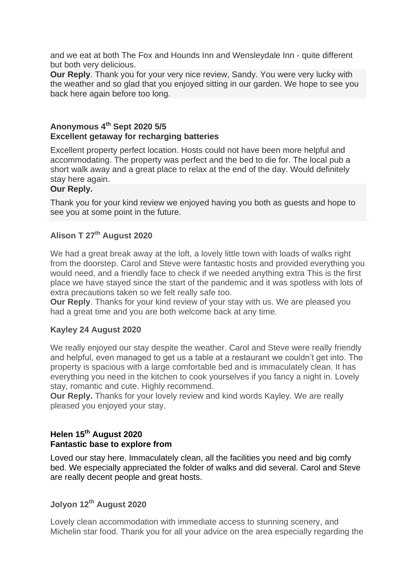and we eat at both The Fox and Hounds Inn and Wensleydale Inn - quite different but both very delicious.

**Our Reply**. Thank you for your very nice review, Sandy. You were very lucky with the weather and so glad that you enjoyed sitting in our garden. We hope to see you back here again before too long.

#### **Anonymous 4th Sept 2020 5/5 Excellent getaway for recharging batteries**

Excellent property perfect location. Hosts could not have been more helpful and accommodating. The property was perfect and the bed to die for. The local pub a short walk away and a great place to relax at the end of the day. Would definitely stay here again.

#### **Our Reply.**

Thank you for your kind review we enjoyed having you both as guests and hope to see you at some point in the future.

## **Alison T 27th August 2020**

We had a great break away at the loft, a lovely little town with loads of walks right from the doorstep. Carol and Steve were fantastic hosts and provided everything you would need, and a friendly face to check if we needed anything extra This is the first place we have stayed since the start of the pandemic and it was spotless with lots of extra precautions taken so we felt really safe too.

**Our Reply**. Thanks for your kind review of your stay with us. We are pleased you had a great time and you are both welcome back at any time.

## **Kayley 24 August 2020**

We really enjoyed our stay despite the weather. Carol and Steve were really friendly and helpful, even managed to get us a table at a restaurant we couldn't get into. The property is spacious with a large comfortable bed and is immaculately clean. It has everything you need in the kitchen to cook yourselves if you fancy a night in. Lovely stay, romantic and cute. Highly recommend.

**Our Reply.** Thanks for your lovely review and kind words Kayley. We are really pleased you enjoyed your stay.

## **Helen 15th August 2020 Fantastic base to explore from**

Loved our stay here. Immaculately clean, all the facilities you need and big comfy bed. We especially appreciated the folder of walks and did several. Carol and Steve are really decent people and great hosts.

# **Jolyon 12th August 2020**

Lovely clean accommodation with immediate access to stunning scenery, and Michelin star food. Thank you for all your advice on the area especially regarding the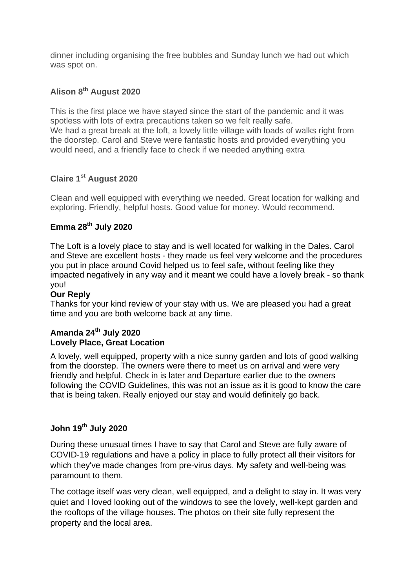dinner including organising the free bubbles and Sunday lunch we had out which was spot on.

# **Alison 8th August 2020**

This is the first place we have stayed since the start of the pandemic and it was spotless with lots of extra precautions taken so we felt really safe. We had a great break at the loft, a lovely little village with loads of walks right from the doorstep. Carol and Steve were fantastic hosts and provided everything you would need, and a friendly face to check if we needed anything extra

# **Claire 1st August 2020**

Clean and well equipped with everything we needed. Great location for walking and exploring. Friendly, helpful hosts. Good value for money. Would recommend.

## **Emma 28 th July 2020**

The Loft is a lovely place to stay and is well located for walking in the Dales. Carol and Steve are excellent hosts - they made us feel very welcome and the procedures you put in place around Covid helped us to feel safe, without feeling like they impacted negatively in any way and it meant we could have a lovely break - so thank you!

#### **Our Reply**

Thanks for your kind review of your stay with us. We are pleased you had a great time and you are both welcome back at any time.

#### **Amanda 24th July 2020 Lovely Place, Great Location**

A lovely, well equipped, property with a nice sunny garden and lots of good walking from the doorstep. The owners were there to meet us on arrival and were very friendly and helpful. Check in is later and Departure earlier due to the owners following the COVID Guidelines, this was not an issue as it is good to know the care that is being taken. Really enjoyed our stay and would definitely go back.

# **John 19th July 2020**

During these unusual times I have to say that Carol and Steve are fully aware of COVID-19 regulations and have a policy in place to fully protect all their visitors for which they've made changes from pre-virus days. My safety and well-being was paramount to them.

The cottage itself was very clean, well equipped, and a delight to stay in. It was very quiet and I loved looking out of the windows to see the lovely, well-kept garden and the rooftops of the village houses. The photos on their site fully represent the property and the local area.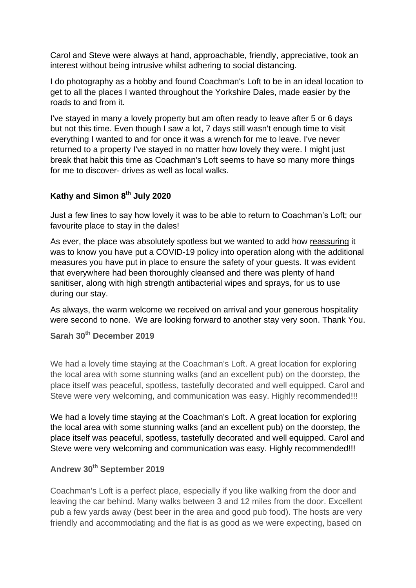Carol and Steve were always at hand, approachable, friendly, appreciative, took an interest without being intrusive whilst adhering to social distancing.

I do photography as a hobby and found Coachman's Loft to be in an ideal location to get to all the places I wanted throughout the Yorkshire Dales, made easier by the roads to and from it.

I've stayed in many a lovely property but am often ready to leave after 5 or 6 days but not this time. Even though I saw a lot, 7 days still wasn't enough time to visit everything I wanted to and for once it was a wrench for me to leave. I've never returned to a property I've stayed in no matter how lovely they were. I might just break that habit this time as Coachman's Loft seems to have so many more things for me to discover- drives as well as local walks.

# **Kathy and Simon 8th July 2020**

Just a few lines to say how lovely it was to be able to return to Coachman's Loft; our favourite place to stay in the dales!

As ever, the place was absolutely spotless but we wanted to add how reassuring it was to know you have put a COVID-19 policy into operation along with the additional measures you have put in place to ensure the safety of your guests. It was evident that everywhere had been thoroughly cleansed and there was plenty of hand sanitiser, along with high strength antibacterial wipes and sprays, for us to use during our stay.

As always, the warm welcome we received on arrival and your generous hospitality were second to none. We are looking forward to another stay very soon. Thank You.

**Sarah 30th December 2019**

We had a lovely time staying at the Coachman's Loft. A great location for exploring the local area with some stunning walks (and an excellent pub) on the doorstep, the place itself was peaceful, spotless, tastefully decorated and well equipped. Carol and Steve were very welcoming, and communication was easy. Highly recommended!!!

We had a lovely time staying at the Coachman's Loft. A great location for exploring the local area with some stunning walks (and an excellent pub) on the doorstep, the place itself was peaceful, spotless, tastefully decorated and well equipped. Carol and Steve were very welcoming and communication was easy. Highly recommended!!!

# **Andrew 30th September 2019**

Coachman's Loft is a perfect place, especially if you like walking from the door and leaving the car behind. Many walks between 3 and 12 miles from the door. Excellent pub a few yards away (best beer in the area and good pub food). The hosts are very friendly and accommodating and the flat is as good as we were expecting, based on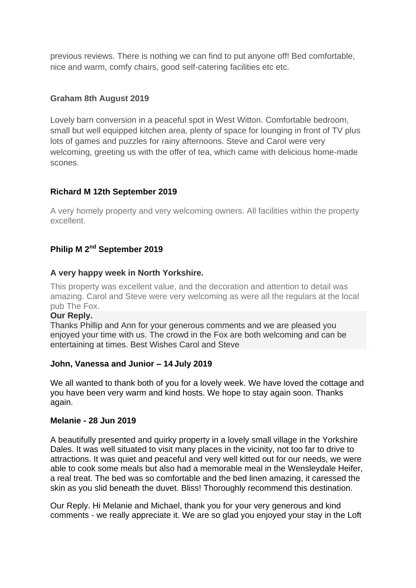previous reviews. There is nothing we can find to put anyone off! Bed comfortable, nice and warm, comfy chairs, good self-catering facilities etc etc.

#### **Graham 8th August 2019**

Lovely barn conversion in a peaceful spot in West Witton. Comfortable bedroom, small but well equipped kitchen area, plenty of space for lounging in front of TV plus lots of games and puzzles for rainy afternoons. Steve and Carol were very welcoming, greeting us with the offer of tea, which came with delicious home-made scones.

#### **Richard M 12th September 2019**

A very homely property and very welcoming owners. All facilities within the property excellent.

# **Philip M 2nd September 2019**

#### **A very happy week in North Yorkshire.**

This property was excellent value, and the decoration and attention to detail was amazing. Carol and Steve were very welcoming as were all the regulars at the local pub The Fox.

#### **Our Reply.**

Thanks Phillip and Ann for your generous comments and we are pleased you enjoyed your time with us. The crowd in the Fox are both welcoming and can be entertaining at times. Best Wishes Carol and Steve

#### **John, Vanessa and Junior – 14 July 2019**

We all wanted to thank both of you for a lovely week. We have loved the cottage and you have been very warm and kind hosts. We hope to stay again soon. Thanks again.

#### **Melanie - 28 Jun 2019**

A beautifully presented and quirky property in a lovely small village in the Yorkshire Dales. It was well situated to visit many places in the vicinity, not too far to drive to attractions. It was quiet and peaceful and very well kitted out for our needs, we were able to cook some meals but also had a memorable meal in the Wensleydale Heifer, a real treat. The bed was so comfortable and the bed linen amazing, it caressed the skin as you slid beneath the duvet. Bliss! Thoroughly recommend this destination.

Our Reply. Hi Melanie and Michael, thank you for your very generous and kind comments - we really appreciate it. We are so glad you enjoyed your stay in the Loft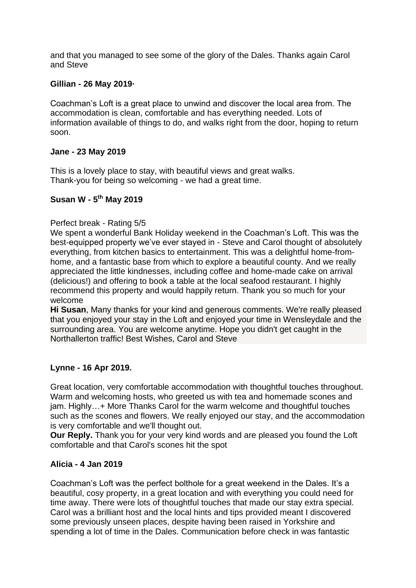and that you managed to see some of the glory of the Dales. Thanks again Carol and Steve

#### **Gillian - 26 May 2019·**

Coachman's Loft is a great place to unwind and discover the local area from. The accommodation is clean, comfortable and has everything needed. Lots of information available of things to do, and walks right from the door, hoping to return soon.

#### **Jane - 23 May 2019**

This is a lovely place to stay, with beautiful views and great walks. Thank-you for being so welcoming - we had a great time.

## **Susan W - 5 th May 2019**

#### Perfect break - Rating 5/5

We spent a wonderful Bank Holiday weekend in the Coachman's Loft. This was the best-equipped property we've ever stayed in - Steve and Carol thought of absolutely everything, from kitchen basics to entertainment. This was a delightful home-fromhome, and a fantastic base from which to explore a beautiful county. And we really appreciated the little kindnesses, including coffee and home-made cake on arrival (delicious!) and offering to book a table at the local seafood restaurant. I highly recommend this property and would happily return. Thank you so much for your welcome

**Hi Susan**, Many thanks for your kind and generous comments. We're really pleased that you enjoyed your stay in the Loft and enjoyed your time in Wensleydale and the surrounding area. You are welcome anytime. Hope you didn't get caught in the Northallerton traffic! Best Wishes, Carol and Steve

#### **Lynne - 16 Apr 2019.**

Great location, very comfortable accommodation with thoughtful touches throughout. Warm and welcoming hosts, who greeted us with tea and homemade scones and jam. Highly…+ More Thanks Carol for the warm welcome and thoughtful touches such as the scones and flowers. We really enjoyed our stay, and the accommodation is very comfortable and we'll thought out.

**Our Reply.** Thank you for your very kind words and are pleased you found the Loft comfortable and that Carol's scones hit the spot

#### **Alicia - 4 Jan 2019**

Coachman's Loft was the perfect bolthole for a great weekend in the Dales. It's a beautiful, cosy property, in a great location and with everything you could need for time away. There were lots of thoughtful touches that made our stay extra special. Carol was a brilliant host and the local hints and tips provided meant I discovered some previously unseen places, despite having been raised in Yorkshire and spending a lot of time in the Dales. Communication before check in was fantastic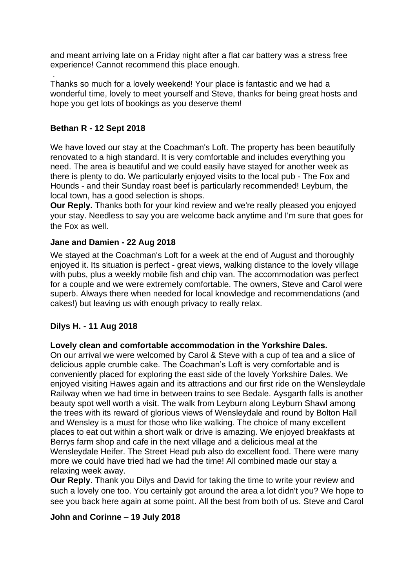and meant arriving late on a Friday night after a flat car battery was a stress free experience! Cannot recommend this place enough.

. Thanks so much for a lovely weekend! Your place is fantastic and we had a wonderful time, lovely to meet yourself and Steve, thanks for being great hosts and hope you get lots of bookings as you deserve them!

## **Bethan R - 12 Sept 2018**

We have loved our stay at the Coachman's Loft. The property has been beautifully renovated to a high standard. It is very comfortable and includes everything you need. The area is beautiful and we could easily have stayed for another week as there is plenty to do. We particularly enjoyed visits to the local pub - The Fox and Hounds - and their Sunday roast beef is particularly recommended! Leyburn, the local town, has a good selection is shops.

**Our Reply.** Thanks both for your kind review and we're really pleased you enjoyed your stay. Needless to say you are welcome back anytime and I'm sure that goes for the Fox as well.

## **Jane and Damien - 22 Aug 2018**

We stayed at the Coachman's Loft for a week at the end of August and thoroughly enjoyed it. Its situation is perfect - great views, walking distance to the lovely village with pubs, plus a weekly mobile fish and chip van. The accommodation was perfect for a couple and we were extremely comfortable. The owners, Steve and Carol were superb. Always there when needed for local knowledge and recommendations (and cakes!) but leaving us with enough privacy to really relax.

## **Dilys H. - 11 Aug 2018**

#### **Lovely clean and comfortable accommodation in the Yorkshire Dales.**

On our arrival we were welcomed by Carol & Steve with a cup of tea and a slice of delicious apple crumble cake. The Coachman's Loft is very comfortable and is conveniently placed for exploring the east side of the lovely Yorkshire Dales. We enjoyed visiting Hawes again and its attractions and our first ride on the Wensleydale Railway when we had time in between trains to see Bedale. Aysgarth falls is another beauty spot well worth a visit. The walk from Leyburn along Leyburn Shawl among the trees with its reward of glorious views of Wensleydale and round by Bolton Hall and Wensley is a must for those who like walking. The choice of many excellent places to eat out within a short walk or drive is amazing. We enjoyed breakfasts at Berrys farm shop and cafe in the next village and a delicious meal at the Wensleydale Heifer. The Street Head pub also do excellent food. There were many more we could have tried had we had the time! All combined made our stay a relaxing week away.

**Our Reply**. Thank you Dilys and David for taking the time to write your review and such a lovely one too. You certainly got around the area a lot didn't you? We hope to see you back here again at some point. All the best from both of us. Steve and Carol

#### **John and Corinne – 19 July 2018**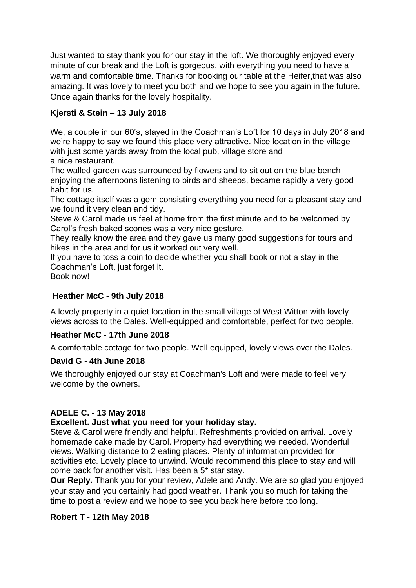Just wanted to stay thank you for our stay in the loft. We thoroughly enjoyed every minute of our break and the Loft is gorgeous, with everything you need to have a warm and comfortable time. Thanks for booking our table at the Heifer,that was also amazing. It was lovely to meet you both and we hope to see you again in the future. Once again thanks for the lovely hospitality.

# **Kjersti & Stein – 13 July 2018**

We, a couple in our 60's, stayed in the Coachman's Loft for 10 days in July 2018 and we're happy to say we found this place very attractive. Nice location in the village with just some yards away from the local pub, village store and a nice restaurant.

The walled garden was surrounded by flowers and to sit out on the blue bench enjoying the afternoons listening to birds and sheeps, became rapidly a very good habit for us.

The cottage itself was a gem consisting everything you need for a pleasant stay and we found it very clean and tidy.

Steve & Carol made us feel at home from the first minute and to be welcomed by Carol's fresh baked scones was a very nice gesture.

They really know the area and they gave us many good suggestions for tours and hikes in the area and for us it worked out very well.

If you have to toss a coin to decide whether you shall book or not a stay in the Coachman's Loft, just forget it.

Book now!

## **Heather McC - 9th July 2018**

A lovely property in a quiet location in the small village of West Witton with lovely views across to the Dales. Well-equipped and comfortable, perfect for two people.

## **Heather McC - 17th June 2018**

A comfortable cottage for two people. Well equipped, lovely views over the Dales.

#### **David G - 4th June 2018**

We thoroughly enjoyed our stay at Coachman's Loft and were made to feel very welcome by the owners.

#### **ADELE C. - 13 May 2018**

#### **Excellent. Just what you need for your holiday stay.**

Steve & Carol were friendly and helpful. Refreshments provided on arrival. Lovely homemade cake made by Carol. Property had everything we needed. Wonderful views. Walking distance to 2 eating places. Plenty of information provided for activities etc. Lovely place to unwind. Would recommend this place to stay and will come back for another visit. Has been a 5\* star stay.

**Our Reply.** Thank you for your review, Adele and Andy. We are so glad you enjoyed your stay and you certainly had good weather. Thank you so much for taking the time to post a review and we hope to see you back here before too long.

#### **Robert T - 12th May 2018**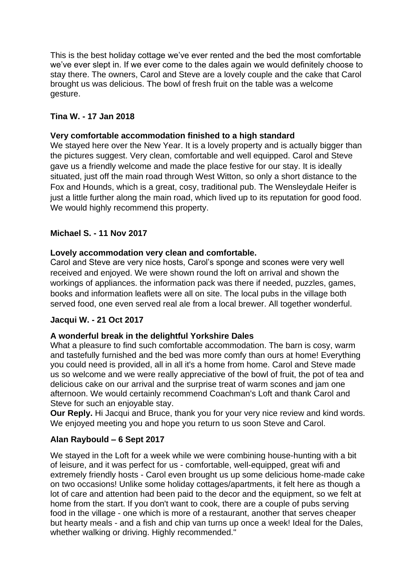This is the best holiday cottage we've ever rented and the bed the most comfortable we've ever slept in. If we ever come to the dales again we would definitely choose to stay there. The owners, Carol and Steve are a lovely couple and the cake that Carol brought us was delicious. The bowl of fresh fruit on the table was a welcome gesture.

## **Tina W. - 17 Jan 2018**

#### **Very comfortable accommodation finished to a high standard**

We stayed here over the New Year. It is a lovely property and is actually bigger than the pictures suggest. Very clean, comfortable and well equipped. Carol and Steve gave us a friendly welcome and made the place festive for our stay. It is ideally situated, just off the main road through West Witton, so only a short distance to the Fox and Hounds, which is a great, cosy, traditional pub. The Wensleydale Heifer is just a little further along the main road, which lived up to its reputation for good food. We would highly recommend this property.

## **Michael S. - 11 Nov 2017**

#### **Lovely accommodation very clean and comfortable.**

Carol and Steve are very nice hosts, Carol's sponge and scones were very well received and enjoyed. We were shown round the loft on arrival and shown the workings of appliances. the information pack was there if needed, puzzles, games, books and information leaflets were all on site. The local pubs in the village both served food, one even served real ale from a local brewer. All together wonderful.

#### **Jacqui W. - 21 Oct 2017**

#### **A wonderful break in the delightful Yorkshire Dales**

What a pleasure to find such comfortable accommodation. The barn is cosy, warm and tastefully furnished and the bed was more comfy than ours at home! Everything you could need is provided, all in all it's a home from home. Carol and Steve made us so welcome and we were really appreciative of the bowl of fruit, the pot of tea and delicious cake on our arrival and the surprise treat of warm scones and jam one afternoon. We would certainly recommend Coachman's Loft and thank Carol and Steve for such an enjoyable stay.

**Our Reply.** Hi Jacqui and Bruce, thank you for your very nice review and kind words. We enjoyed meeting you and hope you return to us soon Steve and Carol.

## **Alan Raybould – 6 Sept 2017**

We stayed in the Loft for a week while we were combining house-hunting with a bit of leisure, and it was perfect for us - comfortable, well-equipped, great wifi and extremely friendly hosts - Carol even brought us up some delicious home-made cake on two occasions! Unlike some holiday cottages/apartments, it felt here as though a lot of care and attention had been paid to the decor and the equipment, so we felt at home from the start. If you don't want to cook, there are a couple of pubs serving food in the village - one which is more of a restaurant, another that serves cheaper but hearty meals - and a fish and chip van turns up once a week! Ideal for the Dales, whether walking or driving. Highly recommended."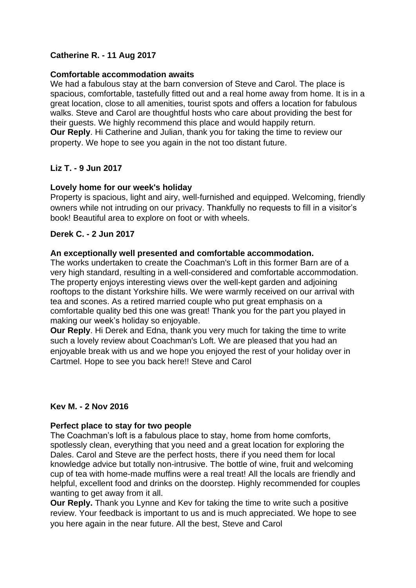## **Catherine R. - 11 Aug 2017**

#### **Comfortable accommodation awaits**

We had a fabulous stay at the barn conversion of Steve and Carol. The place is spacious, comfortable, tastefully fitted out and a real home away from home. It is in a great location, close to all amenities, tourist spots and offers a location for fabulous walks. Steve and Carol are thoughtful hosts who care about providing the best for their guests. We highly recommend this place and would happily return. **Our Reply**. Hi Catherine and Julian, thank you for taking the time to review our property. We hope to see you again in the not too distant future.

#### **Liz T. - 9 Jun 2017**

#### **Lovely home for our week's holiday**

Property is spacious, light and airy, well-furnished and equipped. Welcoming, friendly owners while not intruding on our privacy. Thankfully no requests to fill in a visitor's book! Beautiful area to explore on foot or with wheels.

#### **Derek C. - 2 Jun 2017**

#### **An exceptionally well presented and comfortable accommodation.**

The works undertaken to create the Coachman's Loft in this former Barn are of a very high standard, resulting in a well-considered and comfortable accommodation. The property enjoys interesting views over the well-kept garden and adjoining rooftops to the distant Yorkshire hills. We were warmly received on our arrival with tea and scones. As a retired married couple who put great emphasis on a comfortable quality bed this one was great! Thank you for the part you played in making our week's holiday so enjoyable.

**Our Reply**. Hi Derek and Edna, thank you very much for taking the time to write such a lovely review about Coachman's Loft. We are pleased that you had an enjoyable break with us and we hope you enjoyed the rest of your holiday over in Cartmel. Hope to see you back here!! Steve and Carol

#### **Kev M. - 2 Nov 2016**

#### **Perfect place to stay for two people**

The Coachman's loft is a fabulous place to stay, home from home comforts, spotlessly clean, everything that you need and a great location for exploring the Dales. Carol and Steve are the perfect hosts, there if you need them for local knowledge advice but totally non-intrusive. The bottle of wine, fruit and welcoming cup of tea with home-made muffins were a real treat! All the locals are friendly and helpful, excellent food and drinks on the doorstep. Highly recommended for couples wanting to get away from it all.

**Our Reply.** Thank you Lynne and Kev for taking the time to write such a positive review. Your feedback is important to us and is much appreciated. We hope to see you here again in the near future. All the best, Steve and Carol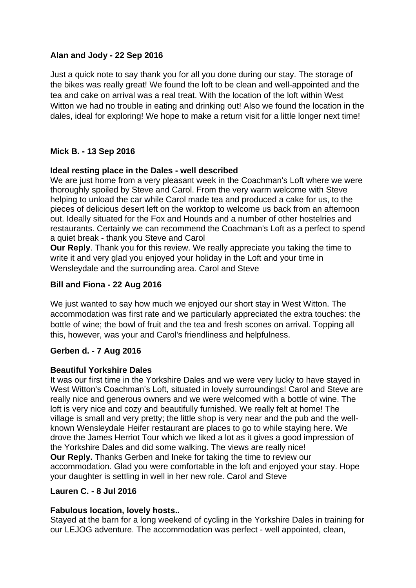## **Alan and Jody - 22 Sep 2016**

Just a quick note to say thank you for all you done during our stay. The storage of the bikes was really great! We found the loft to be clean and well-appointed and the tea and cake on arrival was a real treat. With the location of the loft within West Witton we had no trouble in eating and drinking out! Also we found the location in the dales, ideal for exploring! We hope to make a return visit for a little longer next time!

# **Mick B. - 13 Sep 2016**

#### **Ideal resting place in the Dales - well described**

We are just home from a very pleasant week in the Coachman's Loft where we were thoroughly spoiled by Steve and Carol. From the very warm welcome with Steve helping to unload the car while Carol made tea and produced a cake for us, to the pieces of delicious desert left on the worktop to welcome us back from an afternoon out. Ideally situated for the Fox and Hounds and a number of other hostelries and restaurants. Certainly we can recommend the Coachman's Loft as a perfect to spend a quiet break - thank you Steve and Carol

**Our Reply**. Thank you for this review. We really appreciate you taking the time to write it and very glad you enjoyed your holiday in the Loft and your time in Wensleydale and the surrounding area. Carol and Steve

## **Bill and Fiona - 22 Aug 2016**

We just wanted to say how much we enjoyed our short stay in West Witton. The accommodation was first rate and we particularly appreciated the extra touches: the bottle of wine; the bowl of fruit and the tea and fresh scones on arrival. Topping all this, however, was your and Carol's friendliness and helpfulness.

## **Gerben d. - 7 Aug 2016**

#### **Beautiful Yorkshire Dales**

It was our first time in the Yorkshire Dales and we were very lucky to have stayed in West Witton's Coachman's Loft, situated in lovely surroundings! Carol and Steve are really nice and generous owners and we were welcomed with a bottle of wine. The loft is very nice and cozy and beautifully furnished. We really felt at home! The village is small and very pretty; the little shop is very near and the pub and the wellknown Wensleydale Heifer restaurant are places to go to while staying here. We drove the James Herriot Tour which we liked a lot as it gives a good impression of the Yorkshire Dales and did some walking. The views are really nice! **Our Reply.** Thanks Gerben and Ineke for taking the time to review our accommodation. Glad you were comfortable in the loft and enjoyed your stay. Hope your daughter is settling in well in her new role. Carol and Steve

#### **Lauren C. - 8 Jul 2016**

#### **Fabulous location, lovely hosts..**

Stayed at the barn for a long weekend of cycling in the Yorkshire Dales in training for our LEJOG adventure. The accommodation was perfect - well appointed, clean,